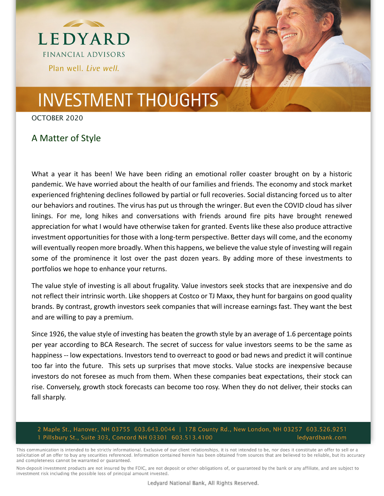

# **INVESTMENT THOUGHTS**

OCTOBER 2020

### A Matter of Style

What a year it has been! We have been riding an emotional roller coaster brought on by a historic pandemic. We have worried about the health of our families and friends. The economy and stock market experienced frightening declines followed by partial or full recoveries. Social distancing forced us to alter our behaviors and routines. The virus has put us through the wringer. But even the COVID cloud has silver linings. For me, long hikes and conversations with friends around fire pits have brought renewed appreciation for what I would have otherwise taken for granted. Events like these also produce attractive investment opportunities for those with a long-term perspective. Better days will come, and the economy will eventually reopen more broadly. When this happens, we believe the value style of investing will regain some of the prominence it lost over the past dozen years. By adding more of these investments to portfolios we hope to enhance your returns.

The value style of investing is all about frugality. Value investors seek stocks that are inexpensive and do not reflect their intrinsic worth. Like shoppers at Costco or TJ Maxx, they hunt for bargains on good quality brands. By contrast, growth investors seek companies that will increase earnings fast. They want the best and are willing to pay a premium.

Since 1926, the value style of investing has beaten the growth style by an average of 1.6 percentage points per year according to BCA Research. The secret of success for value investors seems to be the same as happiness -- low expectations. Investors tend to overreact to good or bad news and predict it will continue too far into the future. This sets up surprises that move stocks. Value stocks are inexpensive because investors do not foresee as much from them. When these companies beat expectations, their stock can rise. Conversely, growth stock forecasts can become too rosy. When they do not deliver, their stocks can fall sharply.

#### 2 Maple St., Hanover, NH 03755 603.643.0044 | 178 County Rd., New London, NH 03257 603.526.9251 1 Pillsbury St., Suite 303, Concord NH 03301 603.513.4100 ledyardbank.com

This communication is intended to be strictly informational. Exclusive of our client relationships, it is not intended to be, nor does it constitute an offer to sell or a solicitation of an offer to buy any securities referenced. Information contained herein has been obtained from sources that are believed to be reliable, but its accuracy and completeness cannot be warranted or guaranteed.

Non-deposit investment products are not insured by the FDIC, are not deposit or other obligations of, or guaranteed by the bank or any affiliate, and are subject to investment risk including the possible loss of principal amount invested.

Ledyard National Bank, All Rights Reserved.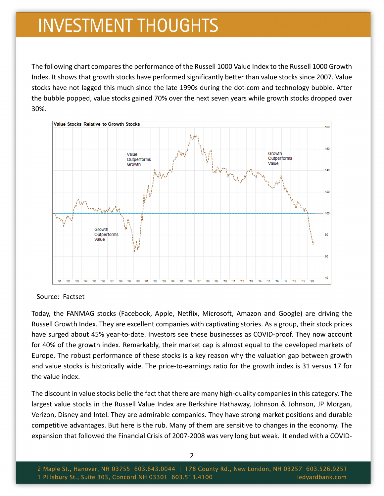## **INVESTMENT THOUGHTS**

The following chart compares the performance of the Russell 1000 Value Index to the Russell 1000 Growth Index. It shows that growth stocks have performed significantly better than value stocks since 2007. Value stocks have not lagged this much since the late 1990s during the dot‐com and technology bubble. After the bubble popped, value stocks gained 70% over the next seven years while growth stocks dropped over 30%.



Source: Factset

Today, the FANMAG stocks (Facebook, Apple, Netflix, Microsoft, Amazon and Google) are driving the Russell Growth Index. They are excellent companies with captivating stories. As a group, their stock prices have surged about 45% year-to-date. Investors see these businesses as COVID-proof. They now account for 40% of the growth index. Remarkably, their market cap is almost equal to the developed markets of Europe. The robust performance of these stocks is a key reason why the valuation gap between growth and value stocks is historically wide. The price-to-earnings ratio for the growth index is 31 versus 17 for the value index.

The discount in value stocks belie the fact that there are many high-quality companies in this category. The largest value stocks in the Russell Value Index are Berkshire Hathaway, Johnson & Johnson, JP Morgan, Verizon, Disney and Intel. They are admirable companies. They have strong market positions and durable competitive advantages. But here is the rub. Many of them are sensitive to changes in the economy. The expansion that followed the Financial Crisis of 2007-2008 was very long but weak. It ended with a COVID-